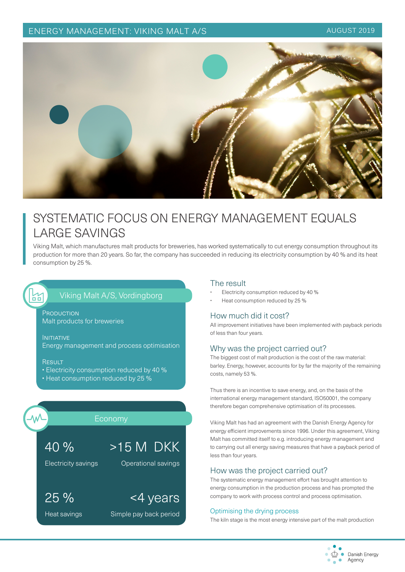ENERGY MANAGEMENT: VIKING MALT A/S AUGUST 2019



# SYSTEMATIC FOCUS ON ENERGY MANAGEMENT EQUALS LARGE SAVINGS

Viking Malt, which manufactures malt products for breweries, has worked systematically to cut energy consumption throughout its production for more than 20 years. So far, the company has succeeded in reducing its electricity consumption by 40 % and its heat consumption by 25 %.

# Viking Malt A/S, Vordingborg

**PRODUCTION** Malt products for breweries

**INITIATIVE** Energy management and process optimisation

#### **RESULT**

씲

• Electricity consumption reduced by 40 %

<4 years

Simple pay back period

• Heat consumption reduced by 25 %



Heat savings

25 %

#### The result

- Electricity consumption reduced by 40 %
- Heat consumption reduced by 25 %

#### How much did it cost?

All improvement initiatives have been implemented with payback periods of less than four years.

#### Why was the project carried out?

The biggest cost of malt production is the cost of the raw material: barley. Energy, however, accounts for by far the majority of the remaining costs, namely 53 %.

Thus there is an incentive to save energy, and, on the basis of the international energy management standard, ISO50001, the company therefore began comprehensive optimisation of its processes.

Viking Malt has had an agreement with the Danish Energy Agency for energy efficient improvements since 1996. Under this agreement, Viking Malt has committed itself to e.g. introducing energy management and to carrying out all energy saving measures that have a payback period of less than four years.

#### How was the project carried out?

The systematic energy management effort has brought attention to energy consumption in the production process and has prompted the company to work with process control and process optimisation.

#### Optimising the drying process

The kiln stage is the most energy intensive part of the malt production